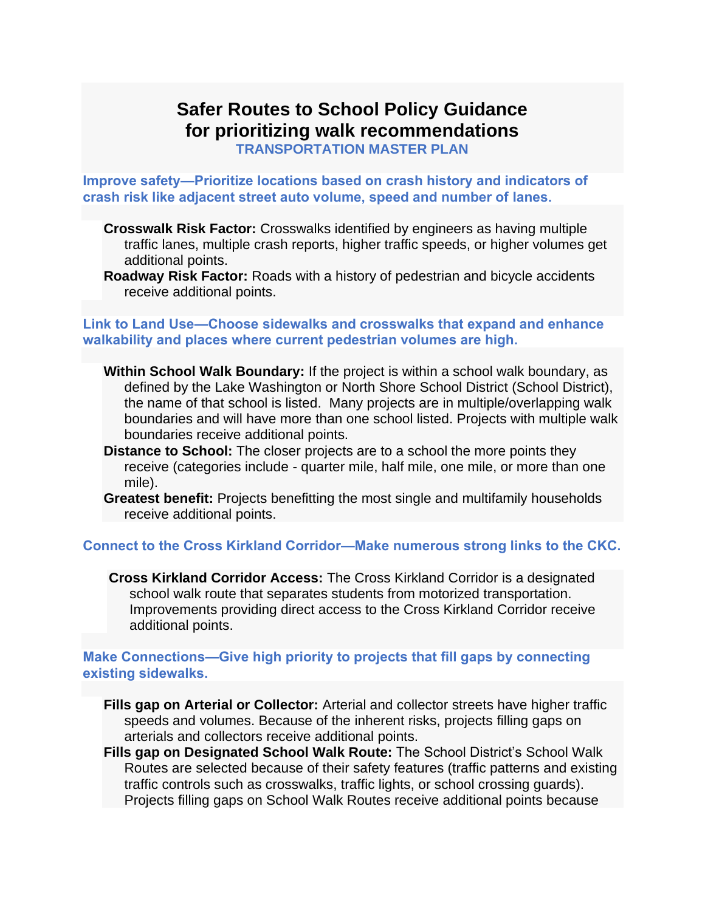# **Safer Routes to School Policy Guidance for prioritizing walk recommendations**

**TRANSPORTATION MASTER PLAN**

**Improve safety—Prioritize locations based on crash history and indicators of crash risk like adjacent street auto volume, speed and number of lanes.**

- **Crosswalk Risk Factor:** Crosswalks identified by engineers as having multiple traffic lanes, multiple crash reports, higher traffic speeds, or higher volumes get additional points.
- **Roadway Risk Factor:** Roads with a history of pedestrian and bicycle accidents receive additional points.

#### **Link to Land Use—Choose sidewalks and crosswalks that expand and enhance walkability and places where current pedestrian volumes are high.**

- **Within School Walk Boundary:** If the project is within a school walk boundary, as defined by the Lake Washington or North Shore School District (School District), the name of that school is listed. Many projects are in multiple/overlapping walk boundaries and will have more than one school listed. Projects with multiple walk boundaries receive additional points.
- **Distance to School:** The closer projects are to a school the more points they receive (categories include - quarter mile, half mile, one mile, or more than one mile).
- **Greatest benefit:** Projects benefitting the most single and multifamily households receive additional points.

# **Connect to the Cross Kirkland Corridor—Make numerous strong links to the CKC.**

**Cross Kirkland Corridor Access:** The Cross Kirkland Corridor is a designated school walk route that separates students from motorized transportation. Improvements providing direct access to the Cross Kirkland Corridor receive additional points.

# **Make Connections—Give high priority to projects that fill gaps by connecting existing sidewalks.**

**Fills gap on Arterial or Collector:** Arterial and collector streets have higher traffic speeds and volumes. Because of the inherent risks, projects filling gaps on arterials and collectors receive additional points.

**Fills gap on Designated School Walk Route:** The School District's [School Walk](https://www.wsdot.wa.gov/LocalPrograms/SafeRoutes/GuideProject.htm)  [Routes](https://www.wsdot.wa.gov/LocalPrograms/SafeRoutes/GuideProject.htm) are selected because of their safety features (traffic patterns and existing traffic controls such as crosswalks, traffic lights, or school crossing guards). Projects filling gaps on School Walk Routes receive additional points because